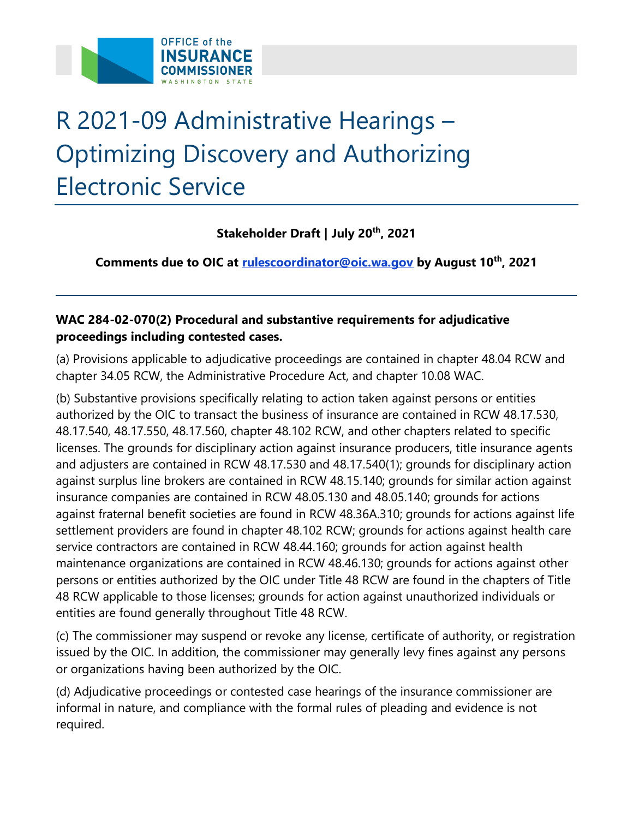

## R 2021-09 Administrative Hearings – Optimizing Discovery and Authorizing Electronic Service

 **Stakeholder Draft | July 20th, 2021** 

 **Comments due to OIC at [rulescoordinator@oic.wa.gov](mailto:rulescoordinator@oic.wa.gov) by August 10th, 2021** 

## **WAC 284-02-070(2) Procedural and substantive requirements for adjudicative proceedings including contested cases.**

 (a) Provisions applicable to adjudicative proceedings are contained in chapter 48.04 RCW and chapter 34.05 RCW, the Administrative Procedure Act, and chapter 10.08 WAC.

 (b) Substantive provisions specifically relating to action taken against persons or entities authorized by the OIC to transact the business of insurance are contained in RCW 48.17.530, 48.17.540, 48.17.550, 48.17.560, chapter 48.102 RCW, and other chapters related to specific licenses. The grounds for disciplinary action against insurance producers, title insurance agents and adjusters are contained in RCW 48.17.530 and 48.17.540(1); grounds for disciplinary action against surplus line brokers are contained in RCW 48.15.140; grounds for similar action against insurance companies are contained in RCW 48.05.130 and 48.05.140; grounds for actions against fraternal benefit societies are found in RCW 48.36A.310; grounds for actions against life settlement providers are found in chapter 48.102 RCW; grounds for actions against health care service contractors are contained in RCW 48.44.160; grounds for action against health maintenance organizations are contained in RCW 48.46.130; grounds for actions against other persons or entities authorized by the OIC under Title 48 RCW are found in the chapters of Title 48 RCW applicable to those licenses; grounds for action against unauthorized individuals or entities are found generally throughout Title 48 RCW.

 (c) The commissioner may suspend or revoke any license, certificate of authority, or registration issued by the OIC. In addition, the commissioner may generally levy fines against any persons or organizations having been authorized by the OIC.

 (d) Adjudicative proceedings or contested case hearings of the insurance commissioner are informal in nature, and compliance with the formal rules of pleading and evidence is not required.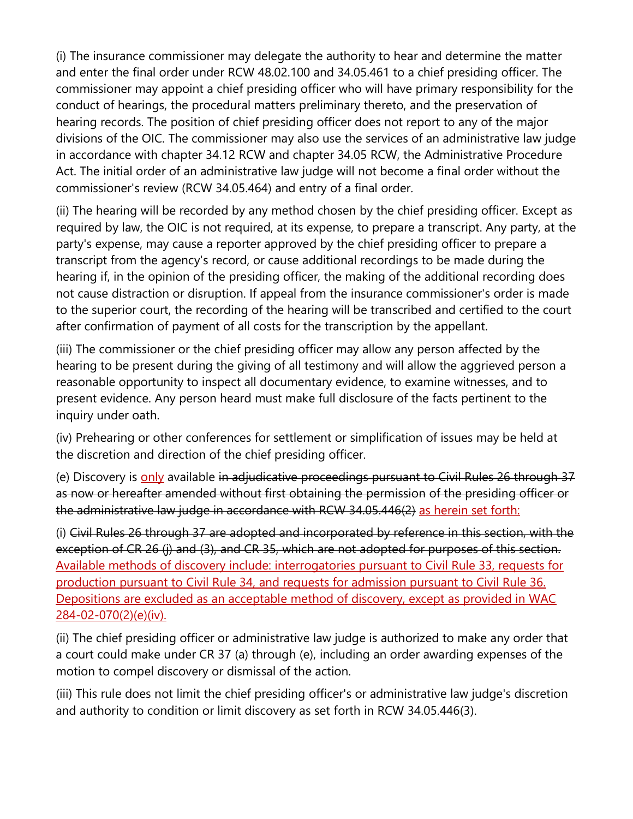(i) The insurance commissioner may delegate the authority to hear and determine the matter and enter the final order under RCW 48.02.100 and 34.05.461 to a chief presiding officer. The commissioner may appoint a chief presiding officer who will have primary responsibility for the conduct of hearings, the procedural matters preliminary thereto, and the preservation of hearing records. The position of chief presiding officer does not report to any of the major divisions of the OIC. The commissioner may also use the services of an administrative law judge in accordance with chapter 34.12 RCW and chapter 34.05 RCW, the Administrative Procedure Act. The initial order of an administrative law judge will not become a final order without the commissioner's review (RCW 34.05.464) and entry of a final order.

 (ii) The hearing will be recorded by any method chosen by the chief presiding officer. Except as required by law, the OIC is not required, at its expense, to prepare a transcript. Any party, at the party's expense, may cause a reporter approved by the chief presiding officer to prepare a transcript from the agency's record, or cause additional recordings to be made during the hearing if, in the opinion of the presiding officer, the making of the additional recording does not cause distraction or disruption. If appeal from the insurance commissioner's order is made to the superior court, the recording of the hearing will be transcribed and certified to the court after confirmation of payment of all costs for the transcription by the appellant.

 (iii) The commissioner or the chief presiding officer may allow any person affected by the hearing to be present during the giving of all testimony and will allow the aggrieved person a reasonable opportunity to inspect all documentary evidence, to examine witnesses, and to present evidence. Any person heard must make full disclosure of the facts pertinent to the inquiry under oath.

 (iv) Prehearing or other conferences for settlement or simplification of issues may be held at the discretion and direction of the chief presiding officer.

(e) Discovery is only available in adjudicative proceedings pursuant to Civil Rules 26 through 37 as now or hereafter amended without first obtaining the permission of the presiding officer or the administrative law judge in accordance with RCW 34.05.446(2) as herein set forth:

 (i) Civil Rules 26 through 37 are adopted and incorporated by reference in this section, with the exception of CR 26 (j) and (3), and CR 35, which are not adopted for purposes of this section. Available methods of discovery include: interrogatories pursuant to Civil Rule 33, requests for production pursuant to Civil Rule 34, and requests for admission pursuant to Civil Rule 36. Depositions are excluded as an acceptable method of discovery, except as provided in WAC 284-02-070(2)(e)(iv).

 (ii) The chief presiding officer or administrative law judge is authorized to make any order that a court could make under CR 37 (a) through (e), including an order awarding expenses of the motion to compel discovery or dismissal of the action.

 (iii) This rule does not limit the chief presiding officer's or administrative law judge's discretion and authority to condition or limit discovery as set forth in RCW 34.05.446(3).